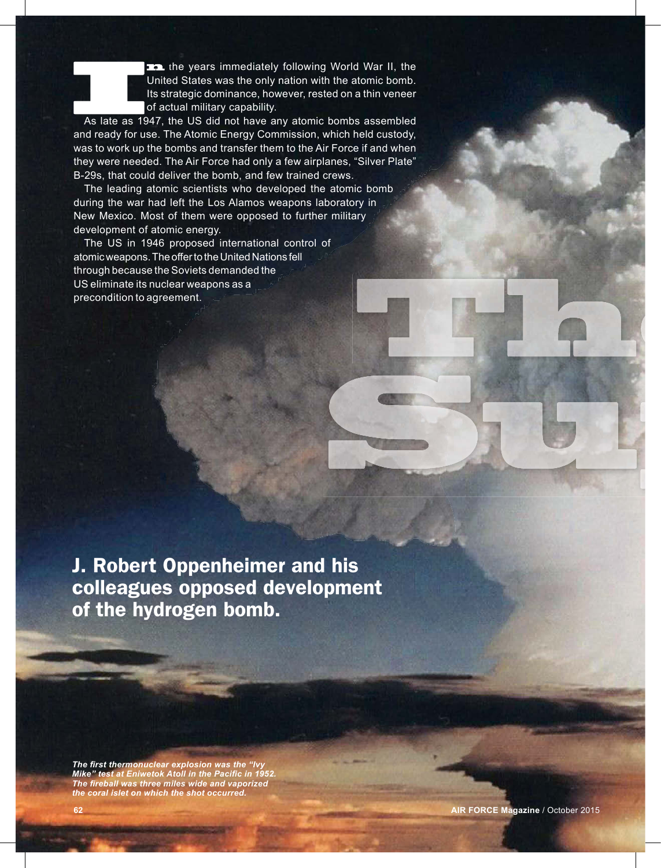the years immediately following World War II, the United States was the only nation with the atomic bomb. Its strategic dominance, however, rested on a thin veneer of actual military capability.

As late as 1947, the US did not have any atomic bombs assembled and ready for use. The Atomic Energy Commission, which held custody, was to work up the bombs and transfer them to the Air Force if and when they were needed. The Air Force had only a few airplanes, "Silver Plate" B-29s, that could deliver the bomb, and few trained crews.

The leading atomic scientists who developed the atomic bomb during the war had left the Los Alamos weapons laboratory in New Mexico. Most of them were opposed to further military development of atomic energy.

The US in 1946 proposed international control of atomic weapons. The offer to the United Nations fell through because the Soviets demanded the US eliminate its nuclear weapons as a precondition to agreement.

J. Robert Oppenheimer and his colleagues opposed development of the hydrogen bomb.

**The first thermonuclear explosion was the "Ivy Mike" test at Eniwetok Atoll in the Pacific in 1952.** *The fi reball was three miles wide and vaporized the coral islet on which the shot occurred.*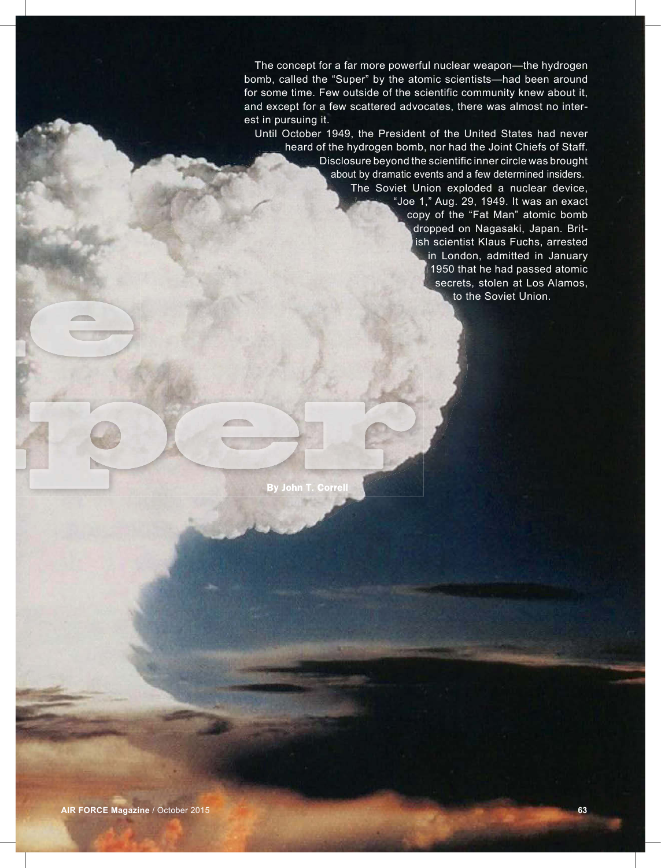The concept for a far more powerful nuclear weapon—the hydrogen bomb, called the "Super" by the atomic scientists—had been around for some time. Few outside of the scientific community knew about it, and except for a few scattered advocates, there was almost no interest in pursuing it.

Until October 1949, the President of the United States had never heard of the hydrogen bomb, nor had the Joint Chiefs of Staff. Disclosure beyond the scientific inner circle was brought about by dramatic events and a few determined insiders. The Soviet Union exploded a nuclear device,

"Joe 1," Aug. 29, 1949. It was an exact copy of the "Fat Man" atomic bomb dropped on Nagasaki, Japan. British scientist Klaus Fuchs, arrested in London, admitted in January 1950 that he had passed atomic secrets, stolen at Los Alamos, to the Soviet Union.

By John T. Correll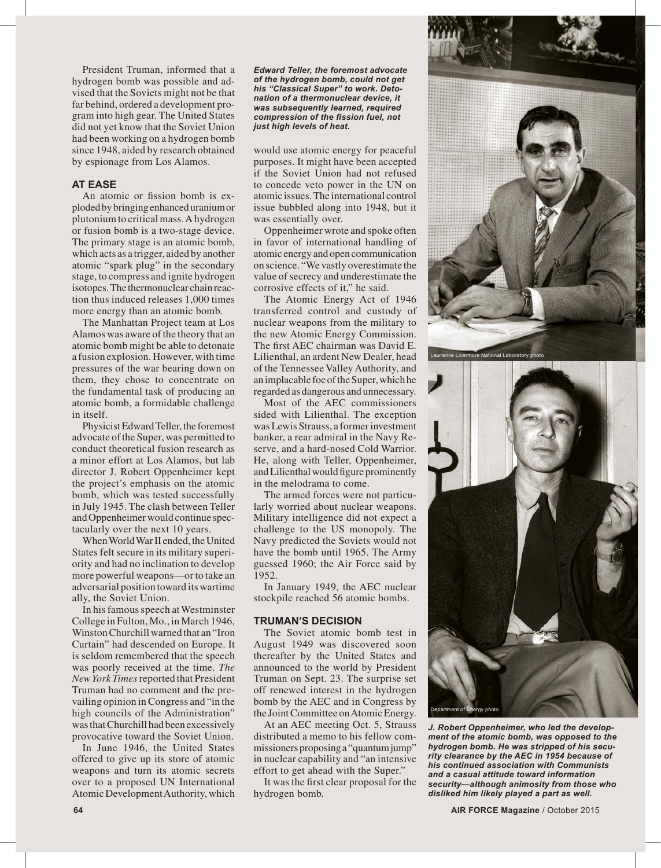President Truman, informed that a hydrogen bomb was possible and advised that the Soviets might not be that far behind, ordered a development program into high gear. The United States did not yet know that the Soviet Union had been working on a hydrogen bomb since 1948, aided by research obtained by espionage from Los Alamos.

### **AT EASE**

An atomic or fission bomb is exploded by bringing enhanced uranium or plutonium to critical mass. A hydrogen or fusion bomb is a two-stage device. The primary stage is an atomic bomb, which acts as a trigger, aided by another atomic "spark plug" in the secondary stage, to compress and ignite hydrogen isotopes. The thermonuclear chain reaction thus induced releases 1,000 times more energy than an atomic bomb.

The Manhattan Project team at Los Alamos was aware of the theory that an atomic bomb might be able to detonate a fusion explosion. However, with time pressures of the war bearing down on them, they chose to concentrate on the fundamental task of producing an atomic bomb, a formidable challenge in itself.

Physicist Edward Teller, the foremost advocate of the Super, was permitted to conduct theoretical fusion research as a minor effort at Los Alamos, but lab director J. Robert Oppenheimer kept the project's emphasis on the atomic bomb, which was tested successfully in July 1945. The clash between Teller and Oppenheimer would continue spectacularly over the next 10 years.

When World War II ended, the United States felt secure in its military superiority and had no inclination to develop more powerful weapons—or to take an adversarial position toward its wartime ally, the Soviet Union.

In his famous speech at Westminster College in Fulton, Mo., in March 1946, Winston Churchill warned that an "Iron Curtain" had descended on Europe. It is seldom remembered that the speech was poorly received at the time. *The New York Times* reported that President Truman had no comment and the prevailing opinion in Congress and "in the high councils of the Administration" was that Churchill had been excessively provocative toward the Soviet Union.

In June 1946, the United States offered to give up its store of atomic weapons and turn its atomic secrets over to a proposed UN International Atomic Development Authority, which *Edward Teller, the foremost advocate of the hydrogen bomb, could not get his "Classical Super" to work. Detonation of a thermonuclear device, it was subsequently learned, required compression of the fission fuel, not just high levels of heat.*

would use atomic energy for peaceful purposes. It might have been accepted if the Soviet Union had not refused to concede veto power in the UN on atomic issues. The international control issue bubbled along into 1948, but it was essentially over.

Oppenheimer wrote and spoke often in favor of international handling of atomic energy and open communication on science. "We vastly overestimate the value of secrecy and underestimate the corrosive effects of it," he said.

The Atomic Energy Act of 1946 transferred control and custody of nuclear weapons from the military to the new Atomic Energy Commission. The first AEC chairman was David E. Lilienthal, an ardent New Dealer, head of the Tennessee Valley Authority, and an implacable foe of the Super, which he regarded as dangerous and unnecessary.

Most of the AEC commissioners sided with Lilienthal. The exception was Lewis Strauss, a former investment banker, a rear admiral in the Navy Reserve, and a hard-nosed Cold Warrior. He, along with Teller, Oppenheimer, and Lilienthal would figure prominently in the melodrama to come.

The armed forces were not particularly worried about nuclear weapons. Military intelligence did not expect a challenge to the US monopoly. The Navy predicted the Soviets would not have the bomb until 1965. The Army guessed 1960; the Air Force said by 1952.

In January 1949, the AEC nuclear stockpile reached 56 atomic bombs.

### **TRUMAN'S DECISION**

The Soviet atomic bomb test in August 1949 was discovered soon thereafter by the United States and announced to the world by President Truman on Sept. 23. The surprise set off renewed interest in the hydrogen bomb by the AEC and in Congress by the Joint Committee on Atomic Energy.

At an AEC meeting Oct. 5, Strauss distributed a memo to his fellow commissioners proposing a "quantum jump" in nuclear capability and "an intensive effort to get ahead with the Super."

It was the first clear proposal for the hydrogen bomb.





*J. Robert Oppenheimer, who led the development of the atomic bomb, was opposed to the hydrogen bomb. He was stripped of his security clearance by the AEC in 1954 because of his continued association with Communists and a casual attitude toward information security—although animosity from those who disliked him likely played a part as well.*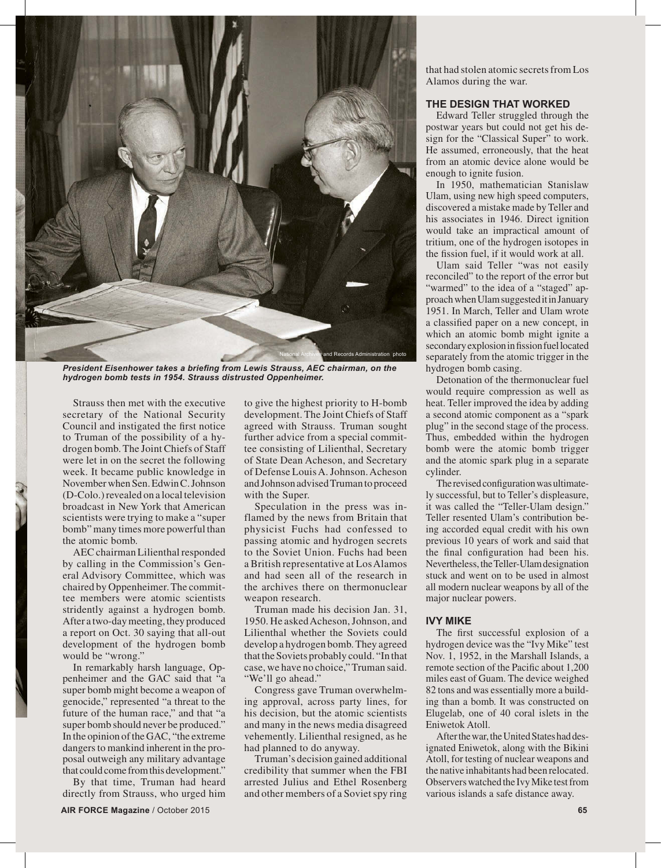

*President Eisenhower takes a briefing from Lewis Strauss, AEC chairman, on the hydrogen bomb tests in 1954. Strauss distrusted Oppenheimer.*

Strauss then met with the executive secretary of the National Security Council and instigated the first notice to Truman of the possibility of a hydrogen bomb. The Joint Chiefs of Staff were let in on the secret the following week. It became public knowledge in November when Sen. Edwin C. Johnson (D-Colo.) revealed on a local television broadcast in New York that American scientists were trying to make a "super bomb" many times more powerful than the atomic bomb.

AEC chairman Lilienthal responded by calling in the Commission's General Advisory Committee, which was chaired by Oppenheimer. The committee members were atomic scientists stridently against a hydrogen bomb. After a two-day meeting, they produced a report on Oct. 30 saying that all-out development of the hydrogen bomb would be "wrong."

In remarkably harsh language, Oppenheimer and the GAC said that "a super bomb might become a weapon of genocide," represented "a threat to the future of the human race," and that "a super bomb should never be produced." In the opinion of the GAC, "the extreme dangers to mankind inherent in the proposal outweigh any military advantage that could come from this development."

By that time, Truman had heard directly from Strauss, who urged him

development. The Joint Chiefs of Staff agreed with Strauss. Truman sought further advice from a special committee consisting of Lilienthal, Secretary of State Dean Acheson, and Secretary of Defense Louis A. Johnson. Acheson and Johnson advised Truman to proceed with the Super. Speculation in the press was in-

to give the highest priority to H-bomb

flamed by the news from Britain that physicist Fuchs had confessed to passing atomic and hydrogen secrets to the Soviet Union. Fuchs had been a British representative at Los Alamos and had seen all of the research in the archives there on thermonuclear weapon research.

Truman made his decision Jan. 31, 1950. He asked Acheson, Johnson, and Lilienthal whether the Soviets could develop a hydrogen bomb. They agreed that the Soviets probably could. "In that case, we have no choice," Truman said. "We'll go ahead."

Congress gave Truman overwhelming approval, across party lines, for his decision, but the atomic scientists and many in the news media disagreed vehemently. Lilienthal resigned, as he had planned to do anyway.

Truman's decision gained additional credibility that summer when the FBI arrested Julius and Ethel Rosenberg and other members of a Soviet spy ring that had stolen atomic secrets from Los Alamos during the war.

### **THE DESIGN THAT WORKED**

Edward Teller struggled through the postwar years but could not get his design for the "Classical Super" to work. He assumed, erroneously, that the heat from an atomic device alone would be enough to ignite fusion.

In 1950, mathematician Stanislaw Ulam, using new high speed computers, discovered a mistake made by Teller and his associates in 1946. Direct ignition would take an impractical amount of tritium, one of the hydrogen isotopes in the fission fuel, if it would work at all.

Ulam said Teller "was not easily reconciled" to the report of the error but "warmed" to the idea of a "staged" approach when Ulam suggested it in January 1951. In March, Teller and Ulam wrote a classified paper on a new concept, in which an atomic bomb might ignite a secondary explosion in fission fuel located separately from the atomic trigger in the hydrogen bomb casing.

Detonation of the thermonuclear fuel would require compression as well as heat. Teller improved the idea by adding a second atomic component as a "spark plug" in the second stage of the process. Thus, embedded within the hydrogen bomb were the atomic bomb trigger and the atomic spark plug in a separate cylinder.

The revised configuration was ultimately successful, but to Teller's displeasure, it was called the "Teller-Ulam design." Teller resented Ulam's contribution being accorded equal credit with his own previous 10 years of work and said that the final configuration had been his. Nevertheless, the Teller-Ulam designation stuck and went on to be used in almost all modern nuclear weapons by all of the major nuclear powers.

# **IVY MIKE**

The first successful explosion of a hydrogen device was the "Ivy Mike" test Nov. 1, 1952, in the Marshall Islands, a remote section of the Pacific about 1,200 miles east of Guam. The device weighed 82 tons and was essentially more a building than a bomb. It was constructed on Elugelab, one of 40 coral islets in the Eniwetok Atoll.

After the war, the United States had designated Eniwetok, along with the Bikini Atoll, for testing of nuclear weapons and the native inhabitants had been relocated. Observers watched the Ivy Mike test from various islands a safe distance away.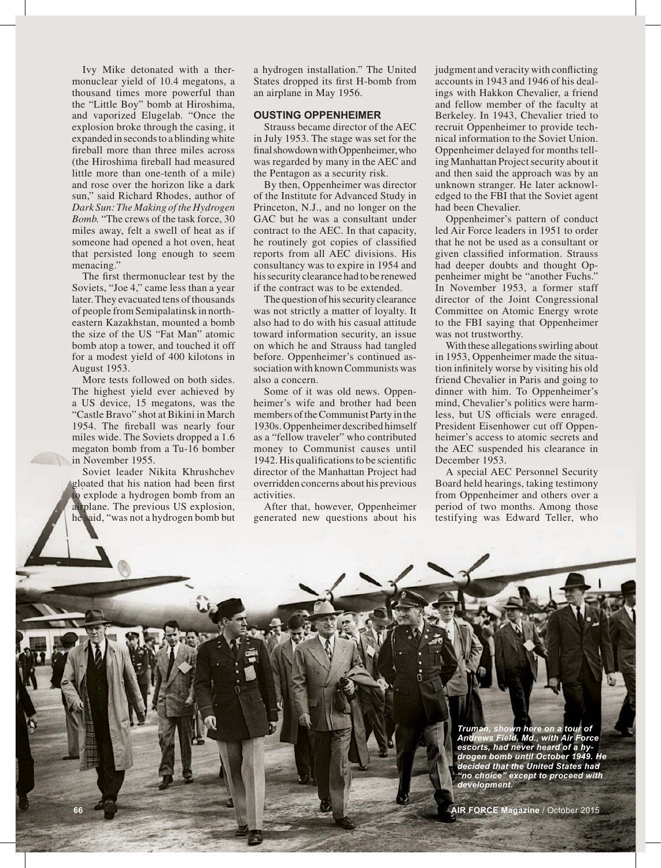Ivy Mike detonated with a thermonuclear yield of 10.4 megatons, a thousand times more powerful than the "Little Boy" bomb at Hiroshima, and vaporized Elugelab. "Once the explosion broke through the casing, it expanded in seconds to a blinding white fireball more than three miles across (the Hiroshima fi reball had measured little more than one-tenth of a mile) and rose over the horizon like a dark sun," said Richard Rhodes, author of *Dark Sun: The Making of the Hydrogen Bomb.* "The crews of the task force, 30 miles away, felt a swell of heat as if someone had opened a hot oven, heat that persisted long enough to seem menacing."

The first thermonuclear test by the Soviets, "Joe 4," came less than a year later. They evacuated tens of thousands of people from Semipalatinsk in northeastern Kazakhstan, mounted a bomb the size of the US "Fat Man" atomic bomb atop a tower, and touched it off for a modest yield of 400 kilotons in August 1953.

More tests followed on both sides. The highest yield ever achieved by a US device, 15 megatons, was the "Castle Bravo" shot at Bikini in March 1954. The fireball was nearly four miles wide. The Soviets dropped a 1.6 megaton bomb from a Tu-16 bomber in November 1955.

Soviet leader Nikita Khrushchev gloated that his nation had been first o explode a hydrogen bomb from an airplane. The previous US explosion, he said, "was not a hydrogen bomb but a hydrogen installation." The United States dropped its first H-bomb from an airplane in May 1956.

### **OUSTING OPPENHEIMER**

Strauss became director of the AEC in July 1953. The stage was set for the final showdown with Oppenheimer, who was regarded by many in the AEC and the Pentagon as a security risk.

By then, Oppenheimer was director of the Institute for Advanced Study in Princeton, N.J., and no longer on the GAC but he was a consultant under contract to the AEC. In that capacity, he routinely got copies of classified reports from all AEC divisions. His consultancy was to expire in 1954 and his security clearance had to be renewed if the contract was to be extended.

The question of his security clearance was not strictly a matter of loyalty. It also had to do with his casual attitude toward information security, an issue on which he and Strauss had tangled before. Oppenheimer's continued association with known Communists was also a concern.

Some of it was old news. Oppenheimer's wife and brother had been members of the Communist Party in the 1930s. Oppenheimer described himself as a "fellow traveler" who contributed money to Communist causes until 1942. His qualifications to be scientific director of the Manhattan Project had overridden concerns about his previous activities.

After that, however, Oppenheimer generated new questions about his

judgment and veracity with conflicting accounts in 1943 and 1946 of his dealings with Hakkon Chevalier, a friend and fellow member of the faculty at Berkeley. In 1943, Chevalier tried to recruit Oppenheimer to provide technical information to the Soviet Union. Oppenheimer delayed for months telling Manhattan Project security about it and then said the approach was by an unknown stranger. He later acknowledged to the FBI that the Soviet agent had been Chevalier.

Oppenheimer's pattern of conduct led Air Force leaders in 1951 to order that he not be used as a consultant or given classified information. Strauss had deeper doubts and thought Oppenheimer might be "another Fuchs." In November 1953, a former staff director of the Joint Congressional Committee on Atomic Energy wrote to the FBI saying that Oppenheimer was not trustworthy.

With these allegations swirling about in 1953, Oppenheimer made the situation infinitely worse by visiting his old friend Chevalier in Paris and going to dinner with him. To Oppenheimer's mind, Chevalier's politics were harmless, but US officials were enraged. President Eisenhower cut off Oppenheimer's access to atomic secrets and the AEC suspended his clearance in December 1953.

A special AEC Personnel Security Board held hearings, taking testimony from Oppenheimer and others over a period of two months. Among those testifying was Edward Teller, who

> *Truman, shown here on a tour of Andrews Field, Md., with Air Force escorts, had never heard of a hydrogen bomb until October 1949. He decided that the United States had "no choice" except to proceed with development.*

**66 AIR FORCE Magazine** / October 2015